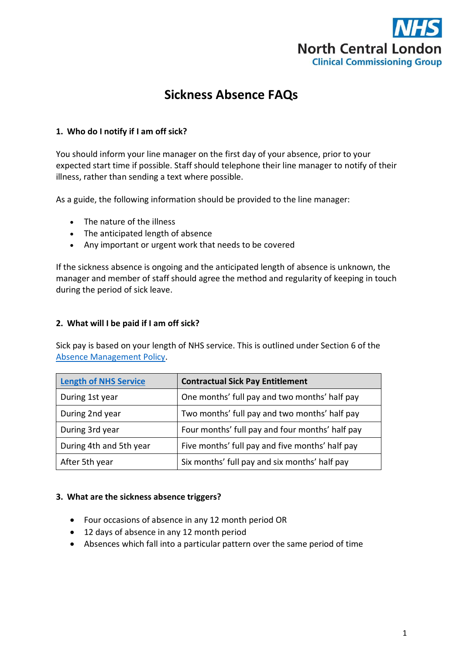

# **Sickness Absence FAQs**

## **1. Who do I notify if I am off sick?**

You should inform your line manager on the first day of your absence, prior to your expected start time if possible. Staff should telephone their line manager to notify of their illness, rather than sending a text where possible.

As a guide, the following information should be provided to the line manager:

- The nature of the illness
- The anticipated length of absence
- Any important or urgent work that needs to be covered

If the sickness absence is ongoing and the anticipated length of absence is unknown, the manager and member of staff should agree the method and regularity of keeping in touch during the period of sick leave.

## **2. What will I be paid if I am off sick?**

Sick pay is based on your length of NHS service. This is outlined under Section 6 of the [Absence Management Policy.](https://intranet.northcentrallondonccg.nhs.uk/policies/Absence%20Management%20Policy%20and%20Procedure%20NCL.pdf)

| <b>Length of NHS Service</b> | <b>Contractual Sick Pay Entitlement</b>         |
|------------------------------|-------------------------------------------------|
| During 1st year              | One months' full pay and two months' half pay   |
| During 2nd year              | Two months' full pay and two months' half pay   |
| During 3rd year              | Four months' full pay and four months' half pay |
| During 4th and 5th year      | Five months' full pay and five months' half pay |
| After 5th year               | Six months' full pay and six months' half pay   |

## **3. What are the sickness absence triggers?**

- Four occasions of absence in any 12 month period OR
- 12 days of absence in any 12 month period
- Absences which fall into a particular pattern over the same period of time